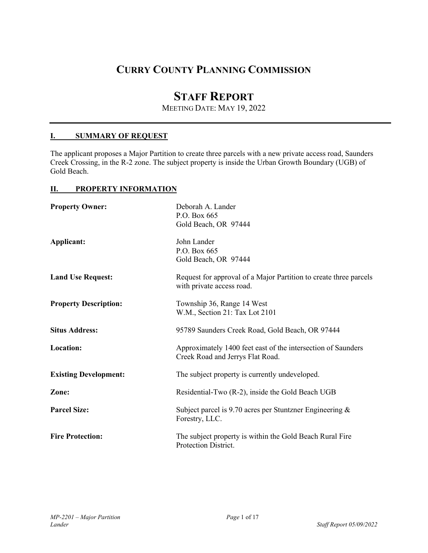# **CURRY COUNTY PLANNING COMMISSION**

# **STAFF REPORT**

MEETING DATE: MAY 19, 2022

## **I. SUMMARY OF REQUEST**

The applicant proposes a Major Partition to create three parcels with a new private access road, Saunders Creek Crossing, in the R-2 zone. The subject property is inside the Urban Growth Boundary (UGB) of Gold Beach.

## **II. PROPERTY INFORMATION**

| <b>Property Owner:</b>       | Deborah A. Lander<br>P.O. Box 665<br>Gold Beach, OR 97444                                        |
|------------------------------|--------------------------------------------------------------------------------------------------|
| Applicant:                   | John Lander<br>P.O. Box 665<br>Gold Beach, OR 97444                                              |
| <b>Land Use Request:</b>     | Request for approval of a Major Partition to create three parcels<br>with private access road.   |
| <b>Property Description:</b> | Township 36, Range 14 West<br>W.M., Section 21: Tax Lot 2101                                     |
| <b>Situs Address:</b>        | 95789 Saunders Creek Road, Gold Beach, OR 97444                                                  |
| Location:                    | Approximately 1400 feet east of the intersection of Saunders<br>Creek Road and Jerrys Flat Road. |
| <b>Existing Development:</b> | The subject property is currently undeveloped.                                                   |
| Zone:                        | Residential-Two (R-2), inside the Gold Beach UGB                                                 |
| <b>Parcel Size:</b>          | Subject parcel is 9.70 acres per Stuntzner Engineering $\&$<br>Forestry, LLC.                    |
| <b>Fire Protection:</b>      | The subject property is within the Gold Beach Rural Fire<br>Protection District.                 |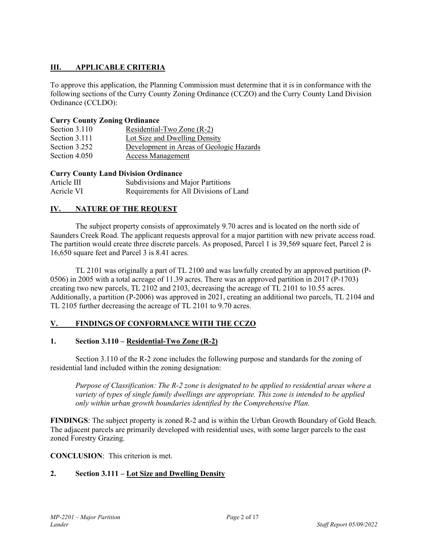## **III. APPLICABLE CRITERIA**

To approve this application, the Planning Commission must determine that it is in conformance with the following sections of the Curry County Zoning Ordinance (CCZO) and the Curry County Land Division Ordinance (CCLDO):

## **Curry County Zoning Ordinance**

| Section 3.110 | Residential-Two Zone (R-2)               |
|---------------|------------------------------------------|
| Section 3.111 | Lot Size and Dwelling Density            |
| Section 3.252 | Development in Areas of Geologic Hazards |
| Section 4.050 | <b>Access Management</b>                 |

## **Curry County Land Division Ordinance**

| Article III | Subdivisions and Major Partitions      |
|-------------|----------------------------------------|
| Acricle VI  | Requirements for All Divisions of Land |

## **IV. NATURE OF THE REQUEST**

 The subject property consists of approximately 9.70 acres and is located on the north side of Saunders Creek Road. The applicant requests approval for a major partition with new private access road. The partition would create three discrete parcels. As proposed, Parcel 1 is 39,569 square feet, Parcel 2 is 16,650 square feet and Parcel 3 is 8.41 acres.

TL 2101 was originally a part of TL 2100 and was lawfully created by an approved partition (P-0506) in 2005 with a total acreage of 11.39 acres. There was an approved partition in 2017 (P-1703) creating two new parcels, TL 2102 and 2103, decreasing the acreage of TL 2101 to 10.55 acres. Additionally, a partition (P-2006) was approved in 2021, creating an additional two parcels, TL 2104 and TL 2105 further decreasing the acreage of TL 2101 to 9.70 acres.

## **V. FINDINGS OF CONFORMANCE WITH THE CCZO**

## **1. Section 3.110 – Residential-Two Zone (R-2)**

 Section 3.110 of the R-2 zone includes the following purpose and standards for the zoning of residential land included within the zoning designation:

*Purpose of Classification: The R-2 zone is designated to be applied to residential areas where a variety of types of single family dwellings are appropriate. This zone is intended to be applied only within urban growth boundaries identified by the Comprehensive Plan.* 

**FINDINGS**: The subject property is zoned R-2 and is within the Urban Growth Boundary of Gold Beach. The adjacent parcels are primarily developed with residential uses, with some larger parcels to the east zoned Forestry Grazing.

## **CONCLUSION**: This criterion is met.

## **2. Section 3.111 – Lot Size and Dwelling Density**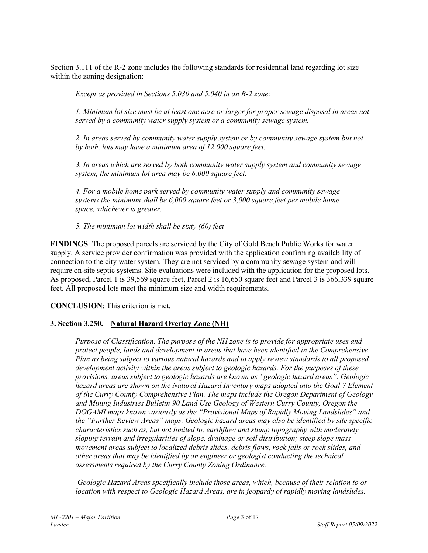Section 3.111 of the R-2 zone includes the following standards for residential land regarding lot size within the zoning designation:

*Except as provided in Sections 5.030 and 5.040 in an R-2 zone:* 

*1. Minimum lot size must be at least one acre or larger for proper sewage disposal in areas not served by a community water supply system or a community sewage system.* 

*2. In areas served by community water supply system or by community sewage system but not by both, lots may have a minimum area of 12,000 square feet.* 

*3. In areas which are served by both community water supply system and community sewage system, the minimum lot area may be 6,000 square feet.* 

*4. For a mobile home park served by community water supply and community sewage systems the minimum shall be 6,000 square feet or 3,000 square feet per mobile home space, whichever is greater.* 

*5. The minimum lot width shall be sixty (60) feet* 

**FINDINGS**: The proposed parcels are serviced by the City of Gold Beach Public Works for water supply. A service provider confirmation was provided with the application confirming availability of connection to the city water system. They are not serviced by a community sewage system and will require on-site septic systems. Site evaluations were included with the application for the proposed lots. As proposed, Parcel 1 is 39,569 square feet, Parcel 2 is 16,650 square feet and Parcel 3 is 366,339 square feet. All proposed lots meet the minimum size and width requirements.

**CONCLUSION**: This criterion is met.

## **3. Section 3.250. – Natural Hazard Overlay Zone (NH)**

*Purpose of Classification. The purpose of the NH zone is to provide for appropriate uses and protect people, lands and development in areas that have been identified in the Comprehensive Plan as being subject to various natural hazards and to apply review standards to all proposed development activity within the areas subject to geologic hazards. For the purposes of these provisions, areas subject to geologic hazards are known as "geologic hazard areas". Geologic hazard areas are shown on the Natural Hazard Inventory maps adopted into the Goal 7 Element of the Curry County Comprehensive Plan. The maps include the Oregon Department of Geology and Mining Industries Bulletin 90 Land Use Geology of Western Curry County, Oregon the DOGAMI maps known variously as the "Provisional Maps of Rapidly Moving Landslides" and the "Further Review Areas" maps. Geologic hazard areas may also be identified by site specific characteristics such as, but not limited to, earthflow and slump topography with moderately sloping terrain and irregularities of slope, drainage or soil distribution; steep slope mass movement areas subject to localized debris slides, debris flows, rock falls or rock slides, and other areas that may be identified by an engineer or geologist conducting the technical assessments required by the Curry County Zoning Ordinance.* 

 *Geologic Hazard Areas specifically include those areas, which, because of their relation to or location with respect to Geologic Hazard Areas, are in jeopardy of rapidly moving landslides.*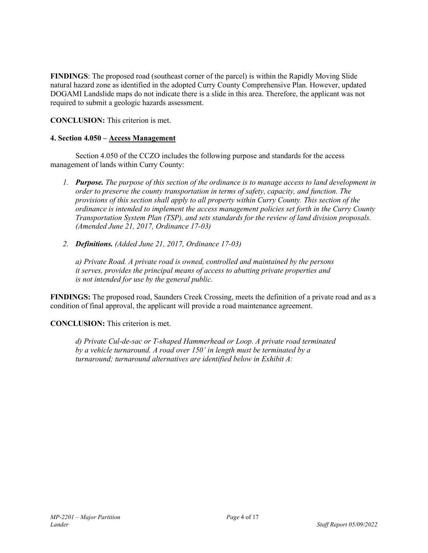**FINDINGS**: The proposed road (southeast corner of the parcel) is within the Rapidly Moving Slide natural hazard zone as identified in the adopted Curry County Comprehensive Plan. However, updated DOGAMI Landslide maps do not indicate there is a slide in this area. Therefore, the applicant was not required to submit a geologic hazards assessment.

**CONCLUSION:** This criterion is met.

## **4. Section 4.050 – Access Management**

 Section 4.050 of the CCZO includes the following purpose and standards for the access management of lands within Curry County:

- *1. Purpose. The purpose of this section of the ordinance is to manage access to land development in order to preserve the county transportation in terms of safety, capacity, and function. The provisions of this section shall apply to all property within Curry County. This section of the ordinance is intended to implement the access management policies set forth in the Curry County Transportation System Plan (TSP), and sets standards for the review of land division proposals. (Amended June 21, 2017, Ordinance 17-03)*
- *2. Definitions. (Added June 21, 2017, Ordinance 17-03)*

*a) Private Road. A private road is owned, controlled and maintained by the persons it serves, provides the principal means of access to abutting private properties and is not intended for use by the general public.* 

**FINDINGS:** The proposed road, Saunders Creek Crossing, meets the definition of a private road and as a condition of final approval, the applicant will provide a road maintenance agreement.

**CONCLUSION:** This criterion is met.

*d) Private Cul-de-sac or T-shaped Hammerhead or Loop. A private road terminated by a vehicle turnaround. A road over 150' in length must be terminated by a turnaround; turnaround alternatives are identified below in Exhibit A:*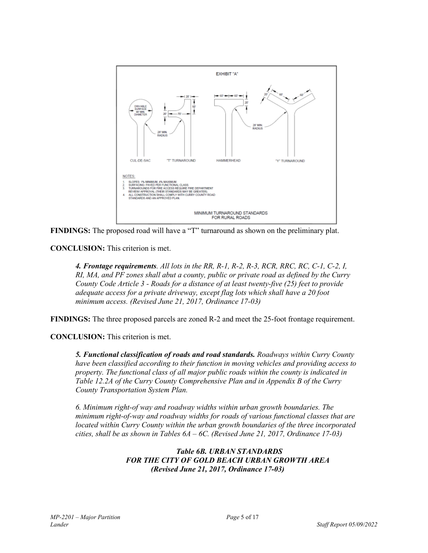

**FINDINGS:** The proposed road will have a "T" turnaround as shown on the preliminary plat.

**CONCLUSION:** This criterion is met.

*4. Frontage requirements. All lots in the RR, R-1, R-2, R-3, RCR, RRC, RC, C-1, C-2, I, RI, MA, and PF zones shall abut a county, public or private road as defined by the Curry County Code Article 3 - Roads for a distance of at least twenty-five (25) feet to provide adequate access for a private driveway, except flag lots which shall have a 20 foot minimum access. (Revised June 21, 2017, Ordinance 17-03)* 

**FINDINGS:** The three proposed parcels are zoned R-2 and meet the 25-foot frontage requirement.

**CONCLUSION:** This criterion is met.

*5. Functional classification of roads and road standards. Roadways within Curry County have been classified according to their function in moving vehicles and providing access to property. The functional class of all major public roads within the county is indicated in Table 12.2A of the Curry County Comprehensive Plan and in Appendix B of the Curry County Transportation System Plan.* 

*6. Minimum right-of way and roadway widths within urban growth boundaries. The minimum right-of-way and roadway widths for roads of various functional classes that are located within Curry County within the urban growth boundaries of the three incorporated cities, shall be as shown in Tables 6A – 6C. (Revised June 21, 2017, Ordinance 17-03)* 

> *Table 6B. URBAN STANDARDS FOR THE CITY OF GOLD BEACH URBAN GROWTH AREA (Revised June 21, 2017, Ordinance 17-03)*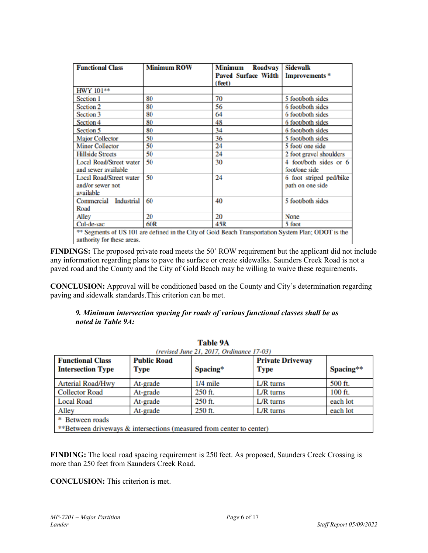| <b>Functional Class</b>                                                                             | <b>Minimum ROW</b> | Minimum<br><b>Roadway</b>  | <b>Sidewalk</b>           |  |  |  |
|-----------------------------------------------------------------------------------------------------|--------------------|----------------------------|---------------------------|--|--|--|
|                                                                                                     |                    | <b>Paved Surface Width</b> | Improvements <sup>*</sup> |  |  |  |
|                                                                                                     |                    | (feet)                     |                           |  |  |  |
| HWY 101**                                                                                           |                    |                            |                           |  |  |  |
| Section 1                                                                                           | 80                 | 70                         | 5 foot/both sides         |  |  |  |
| Section 2                                                                                           | 80                 | 56                         | 6 foot/both sides         |  |  |  |
| Section 3                                                                                           | 80                 | 64                         | 6 foot/both sides         |  |  |  |
| Section 4                                                                                           | 80                 | 48                         | 6 foot/both sides         |  |  |  |
| Section 5                                                                                           | 80                 | 34                         | 6 foot/both sides         |  |  |  |
| <b>Major Collector</b>                                                                              | 50                 | 36                         | 5 foot/both sides         |  |  |  |
| <b>Minor Collector</b>                                                                              | 50                 | 24                         | 5 foot/ one side          |  |  |  |
| <b>Hillside Streets</b>                                                                             | 50                 | 24                         | 2 foot gravel shoulders   |  |  |  |
| <b>Local Road/Street water</b>                                                                      | 50                 | 30                         | 4 foot/both sides or 6    |  |  |  |
| and sewer available                                                                                 |                    |                            | foot/one side             |  |  |  |
| Local Road/Street water                                                                             | 50                 | 24                         | 6 foot striped ped/bike   |  |  |  |
| and/or sewer not                                                                                    |                    |                            | path on one side          |  |  |  |
| available                                                                                           |                    |                            |                           |  |  |  |
| Commercial Industrial                                                                               | 60                 | 40                         | 5 foot/both sides         |  |  |  |
| Road                                                                                                |                    |                            |                           |  |  |  |
| Alley                                                                                               | 20                 | 20                         | None                      |  |  |  |
| Cul-de-sac                                                                                          | 60R                | 45R                        | 5 foot                    |  |  |  |
| ** Segments of US 101 are defined in the City of Gold Beach Transportation System Plan; ODOT is the |                    |                            |                           |  |  |  |
| authority for these areas.                                                                          |                    |                            |                           |  |  |  |

**FINDINGS:** The proposed private road meets the 50' ROW requirement but the applicant did not include any information regarding plans to pave the surface or create sidewalks. Saunders Creek Road is not a paved road and the County and the City of Gold Beach may be willing to waive these requirements.

**CONCLUSION:** Approval will be conditioned based on the County and City's determination regarding paving and sidewalk standards.This criterion can be met.

## *9. Minimum intersection spacing for roads of various functional classes shall be as noted in Table 9A:*

| <b>Table 9A</b><br>(revised June 21, 2017, Ordinance 17-03)                             |                            |            |                                        |           |  |  |
|-----------------------------------------------------------------------------------------|----------------------------|------------|----------------------------------------|-----------|--|--|
| <b>Functional Class</b><br><b>Intersection Type</b>                                     | <b>Public Road</b><br>Type | Spacing*   | <b>Private Driveway</b><br><b>Type</b> | Spacing** |  |  |
| <b>Arterial Road/Hwy</b>                                                                | At-grade                   | $1/4$ mile | $L/R$ turns                            | 500 ft.   |  |  |
| <b>Collector Road</b>                                                                   | At-grade                   | 250 ft.    | $L/R$ turns                            | 100 ft.   |  |  |
| <b>Local Road</b>                                                                       | At-grade                   | 250 ft.    | $L/R$ turns                            | each lot  |  |  |
| Alley                                                                                   | At-grade                   | 250 ft.    | $L/R$ turns                            | each lot  |  |  |
| * Between roads<br>**Between driveways & intersections (measured from center to center) |                            |            |                                        |           |  |  |

**FINDING:** The local road spacing requirement is 250 feet. As proposed, Saunders Creek Crossing is more than 250 feet from Saunders Creek Road.

**CONCLUSION:** This criterion is met.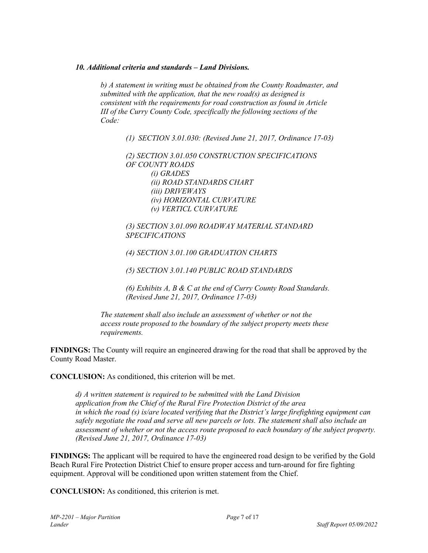#### *10. Additional criteria and standards – Land Divisions.*

*b) A statement in writing must be obtained from the County Roadmaster, and submitted with the application, that the new road(s) as designed is consistent with the requirements for road construction as found in Article III of the Curry County Code, specifically the following sections of the Code:* 

*(1) SECTION 3.01.030: (Revised June 21, 2017, Ordinance 17-03)* 

*(2) SECTION 3.01.050 CONSTRUCTION SPECIFICATIONS OF COUNTY ROADS (i) GRADES (ii) ROAD STANDARDS CHART (iii) DRIVEWAYS (iv) HORIZONTAL CURVATURE (v) VERTICL CURVATURE* 

*(3) SECTION 3.01.090 ROADWAY MATERIAL STANDARD SPECIFICATIONS* 

*(4) SECTION 3.01.100 GRADUATION CHARTS* 

*(5) SECTION 3.01.140 PUBLIC ROAD STANDARDS* 

*(6) Exhibits A, B & C at the end of Curry County Road Standards. (Revised June 21, 2017, Ordinance 17-03)* 

*The statement shall also include an assessment of whether or not the access route proposed to the boundary of the subject property meets these requirements.* 

**FINDINGS:** The County will require an engineered drawing for the road that shall be approved by the County Road Master.

**CONCLUSION:** As conditioned, this criterion will be met.

*d) A written statement is required to be submitted with the Land Division application from the Chief of the Rural Fire Protection District of the area in which the road (s) is/are located verifying that the District's large firefighting equipment can safely negotiate the road and serve all new parcels or lots. The statement shall also include an assessment of whether or not the access route proposed to each boundary of the subject property. (Revised June 21, 2017, Ordinance 17-03)* 

**FINDINGS:** The applicant will be required to have the engineered road design to be verified by the Gold Beach Rural Fire Protection District Chief to ensure proper access and turn-around for fire fighting equipment. Approval will be conditioned upon written statement from the Chief.

**CONCLUSION:** As conditioned, this criterion is met.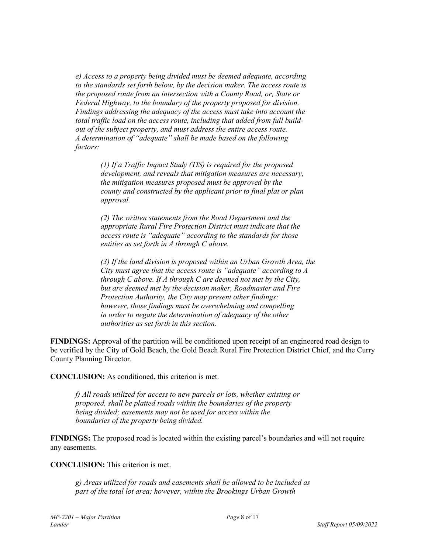*e) Access to a property being divided must be deemed adequate, according to the standards set forth below, by the decision maker. The access route is the proposed route from an intersection with a County Road, or, State or Federal Highway, to the boundary of the property proposed for division. Findings addressing the adequacy of the access must take into account the total traffic load on the access route, including that added from full buildout of the subject property, and must address the entire access route. A determination of "adequate" shall be made based on the following factors:* 

> *(1) If a Traffic Impact Study (TIS) is required for the proposed development, and reveals that mitigation measures are necessary, the mitigation measures proposed must be approved by the county and constructed by the applicant prior to final plat or plan approval.*

*(2) The written statements from the Road Department and the appropriate Rural Fire Protection District must indicate that the access route is "adequate" according to the standards for those entities as set forth in A through C above.* 

*(3) If the land division is proposed within an Urban Growth Area, the City must agree that the access route is "adequate" according to A through C above. If A through C are deemed not met by the City, but are deemed met by the decision maker, Roadmaster and Fire Protection Authority, the City may present other findings; however, those findings must be overwhelming and compelling in order to negate the determination of adequacy of the other authorities as set forth in this section.* 

**FINDINGS:** Approval of the partition will be conditioned upon receipt of an engineered road design to be verified by the City of Gold Beach, the Gold Beach Rural Fire Protection District Chief, and the Curry County Planning Director.

**CONCLUSION:** As conditioned, this criterion is met.

*f) All roads utilized for access to new parcels or lots, whether existing or proposed, shall be platted roads within the boundaries of the property being divided; easements may not be used for access within the boundaries of the property being divided.* 

**FINDINGS:** The proposed road is located within the existing parcel's boundaries and will not require any easements.

**CONCLUSION:** This criterion is met.

*g) Areas utilized for roads and easements shall be allowed to be included as part of the total lot area; however, within the Brookings Urban Growth*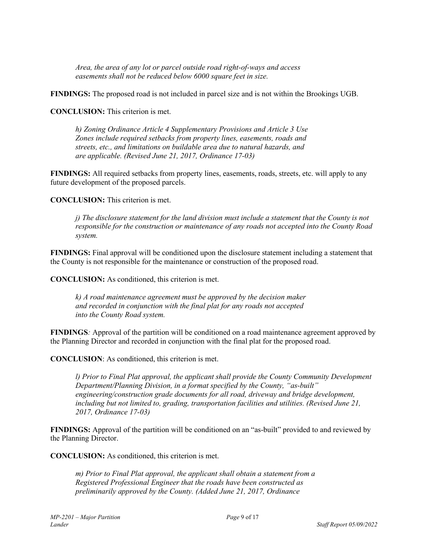*Area, the area of any lot or parcel outside road right-of-ways and access easements shall not be reduced below 6000 square feet in size.* 

**FINDINGS:** The proposed road is not included in parcel size and is not within the Brookings UGB.

**CONCLUSION:** This criterion is met.

*h) Zoning Ordinance Article 4 Supplementary Provisions and Article 3 Use Zones include required setbacks from property lines, easements, roads and streets, etc., and limitations on buildable area due to natural hazards, and are applicable. (Revised June 21, 2017, Ordinance 17-03)* 

**FINDINGS:** All required setbacks from property lines, easements, roads, streets, etc. will apply to any future development of the proposed parcels.

**CONCLUSION:** This criterion is met.

*j) The disclosure statement for the land division must include a statement that the County is not responsible for the construction or maintenance of any roads not accepted into the County Road system.* 

**FINDINGS:** Final approval will be conditioned upon the disclosure statement including a statement that the County is not responsible for the maintenance or construction of the proposed road.

**CONCLUSION:** As conditioned, this criterion is met.

*k) A road maintenance agreement must be approved by the decision maker and recorded in conjunction with the final plat for any roads not accepted into the County Road system.* 

**FINDINGS***:* Approval of the partition will be conditioned on a road maintenance agreement approved by the Planning Director and recorded in conjunction with the final plat for the proposed road.

**CONCLUSION**: As conditioned, this criterion is met.

*l) Prior to Final Plat approval, the applicant shall provide the County Community Development Department/Planning Division, in a format specified by the County, "as-built" engineering/construction grade documents for all road, driveway and bridge development, including but not limited to, grading, transportation facilities and utilities. (Revised June 21, 2017, Ordinance 17-03)* 

**FINDINGS:** Approval of the partition will be conditioned on an "as-built" provided to and reviewed by the Planning Director.

**CONCLUSION:** As conditioned, this criterion is met.

*m) Prior to Final Plat approval, the applicant shall obtain a statement from a Registered Professional Engineer that the roads have been constructed as preliminarily approved by the County. (Added June 21, 2017, Ordinance*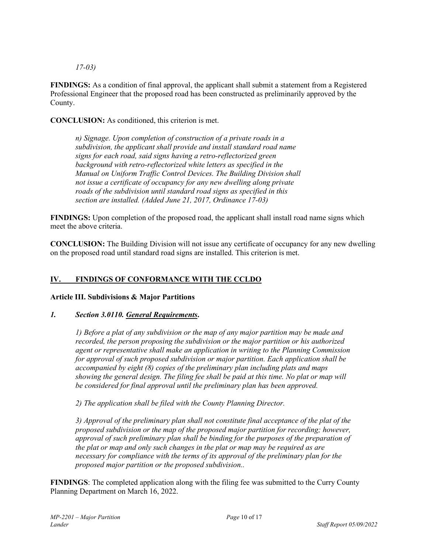*17-03)* 

**FINDINGS:** As a condition of final approval, the applicant shall submit a statement from a Registered Professional Engineer that the proposed road has been constructed as preliminarily approved by the County.

**CONCLUSION:** As conditioned, this criterion is met.

*n) Signage. Upon completion of construction of a private roads in a subdivision, the applicant shall provide and install standard road name signs for each road, said signs having a retro-reflectorized green background with retro-reflectorized white letters as specified in the Manual on Uniform Traffic Control Devices. The Building Division shall not issue a certificate of occupancy for any new dwelling along private roads of the subdivision until standard road signs as specified in this section are installed. (Added June 21, 2017, Ordinance 17-03)* 

**FINDINGS:** Upon completion of the proposed road, the applicant shall install road name signs which meet the above criteria.

**CONCLUSION:** The Building Division will not issue any certificate of occupancy for any new dwelling on the proposed road until standard road signs are installed. This criterion is met.

## **IV. FINDINGS OF CONFORMANCE WITH THE CCLDO**

## **Article III. Subdivisions & Major Partitions**

## *1. Section 3.0110. General Requirements***.**

*1) Before a plat of any subdivision or the map of any major partition may be made and recorded, the person proposing the subdivision or the major partition or his authorized agent or representative shall make an application in writing to the Planning Commission for approval of such proposed subdivision or major partition. Each application shall be accompanied by eight (8) copies of the preliminary plan including plats and maps showing the general design. The filing fee shall be paid at this time. No plat or map will be considered for final approval until the preliminary plan has been approved.* 

*2) The application shall be filed with the County Planning Director.* 

*3) Approval of the preliminary plan shall not constitute final acceptance of the plat of the proposed subdivision or the map of the proposed major partition for recording; however, approval of such preliminary plan shall be binding for the purposes of the preparation of the plat or map and only such changes in the plat or map may be required as are necessary for compliance with the terms of its approval of the preliminary plan for the proposed major partition or the proposed subdivision..* 

**FINDINGS**: The completed application along with the filing fee was submitted to the Curry County Planning Department on March 16, 2022.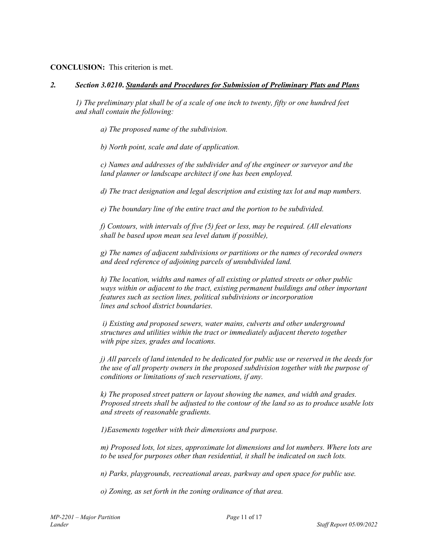## **CONCLUSION:** This criterion is met.

## *2. Section 3.0210***.** *Standards and Procedures for Submission of Preliminary Plats and Plans*

*1) The preliminary plat shall be of a scale of one inch to twenty, fifty or one hundred feet and shall contain the following:* 

*a) The proposed name of the subdivision.* 

*b) North point, scale and date of application.* 

*c) Names and addresses of the subdivider and of the engineer or surveyor and the land planner or landscape architect if one has been employed.* 

*d) The tract designation and legal description and existing tax lot and map numbers.* 

*e) The boundary line of the entire tract and the portion to be subdivided.* 

*f) Contours, with intervals of five (5) feet or less, may be required. (All elevations shall be based upon mean sea level datum if possible),* 

*g) The names of adjacent subdivisions or partitions or the names of recorded owners and deed reference of adjoining parcels of unsubdivided land.* 

*h) The location, widths and names of all existing or platted streets or other public ways within or adjacent to the tract, existing permanent buildings and other important features such as section lines, political subdivisions or incorporation lines and school district boundaries.* 

 *i) Existing and proposed sewers, water mains, culverts and other underground structures and utilities within the tract or immediately adjacent thereto together with pipe sizes, grades and locations.* 

*j) All parcels of land intended to be dedicated for public use or reserved in the deeds for the use of all property owners in the proposed subdivision together with the purpose of conditions or limitations of such reservations, if any.* 

*k) The proposed street pattern or layout showing the names, and width and grades. Proposed streets shall be adjusted to the contour of the land so as to produce usable lots and streets of reasonable gradients.* 

*1)Easements together with their dimensions and purpose.* 

*m) Proposed lots, lot sizes, approximate lot dimensions and lot numbers. Where lots are to be used for purposes other than residential, it shall be indicated on such lots.* 

*n) Parks, playgrounds, recreational areas, parkway and open space for public use.* 

*o) Zoning, as set forth in the zoning ordinance of that area.*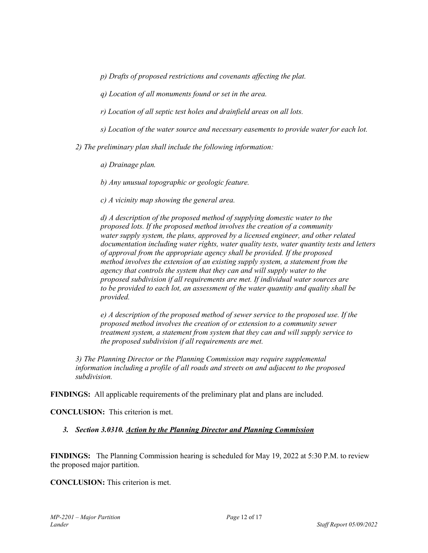*p) Drafts of proposed restrictions and covenants affecting the plat.* 

*q) Location of all monuments found or set in the area.* 

*r) Location of all septic test holes and drainfield areas on all lots.* 

*s) Location of the water source and necessary easements to provide water for each lot.* 

*2) The preliminary plan shall include the following information:* 

*a) Drainage plan.* 

*b) Any unusual topographic or geologic feature.* 

*c) A vicinity map showing the general area.* 

*d) A description of the proposed method of supplying domestic water to the proposed lots. If the proposed method involves the creation of a community water supply system, the plans, approved by a licensed engineer, and other related documentation including water rights, water quality tests, water quantity tests and letters of approval from the appropriate agency shall be provided. If the proposed method involves the extension of an existing supply system, a statement from the agency that controls the system that they can and will supply water to the proposed subdivision if all requirements are met. If individual water sources are to be provided to each lot, an assessment of the water quantity and quality shall be provided.* 

*e) A description of the proposed method of sewer service to the proposed use. If the proposed method involves the creation of or extension to a community sewer treatment system, a statement from system that they can and will supply service to the proposed subdivision if all requirements are met.* 

*3) The Planning Director or the Planning Commission may require supplemental information including a profile of all roads and streets on and adjacent to the proposed subdivision.* 

**FINDINGS:** All applicable requirements of the preliminary plat and plans are included.

**CONCLUSION:** This criterion is met.

## *3. Section 3.0310. Action by the Planning Director and Planning Commission*

**FINDINGS:** The Planning Commission hearing is scheduled for May 19, 2022 at 5:30 P.M. to review the proposed major partition.

**CONCLUSION:** This criterion is met.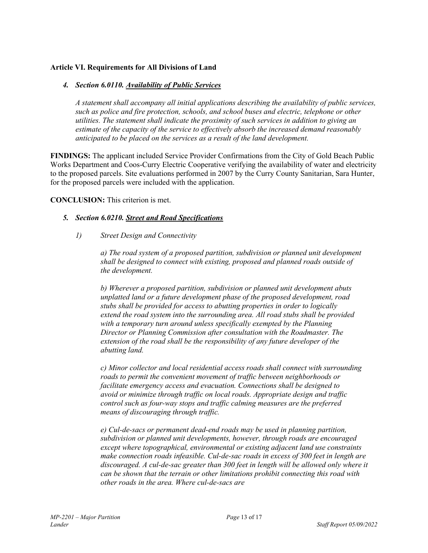## **Article VI. Requirements for All Divisions of Land**

## *4. Section 6.0110. Availability of Public Services*

*A statement shall accompany all initial applications describing the availability of public services, such as police and fire protection, schools, and school buses and electric, telephone or other utilities. The statement shall indicate the proximity of such services in addition to giving an estimate of the capacity of the service to effectively absorb the increased demand reasonably anticipated to be placed on the services as a result of the land development.* 

**FINDINGS:** The applicant included Service Provider Confirmations from the City of Gold Beach Public Works Department and Coos-Curry Electric Cooperative verifying the availability of water and electricity to the proposed parcels. Site evaluations performed in 2007 by the Curry County Sanitarian, Sara Hunter, for the proposed parcels were included with the application.

## **CONCLUSION:** This criterion is met.

## *5. Section 6.0210. Street and Road Specifications*

*1) Street Design and Connectivity* 

*a) The road system of a proposed partition, subdivision or planned unit development shall be designed to connect with existing, proposed and planned roads outside of the development.* 

*b) Wherever a proposed partition, subdivision or planned unit development abuts unplatted land or a future development phase of the proposed development, road stubs shall be provided for access to abutting properties in order to logically extend the road system into the surrounding area. All road stubs shall be provided with a temporary turn around unless specifically exempted by the Planning Director or Planning Commission after consultation with the Roadmaster. The extension of the road shall be the responsibility of any future developer of the abutting land.* 

*c) Minor collector and local residential access roads shall connect with surrounding roads to permit the convenient movement of traffic between neighborhoods or facilitate emergency access and evacuation. Connections shall be designed to avoid or minimize through traffic on local roads. Appropriate design and traffic control such as four-way stops and traffic calming measures are the preferred means of discouraging through traffic.* 

*e) Cul-de-sacs or permanent dead-end roads may be used in planning partition, subdivision or planned unit developments, however, through roads are encouraged except where topographical, environmental or existing adjacent land use constraints make connection roads infeasible. Cul-de-sac roads in excess of 300 feet in length are discouraged. A cul-de-sac greater than 300 feet in length will be allowed only where it can be shown that the terrain or other limitations prohibit connecting this road with other roads in the area. Where cul-de-sacs are*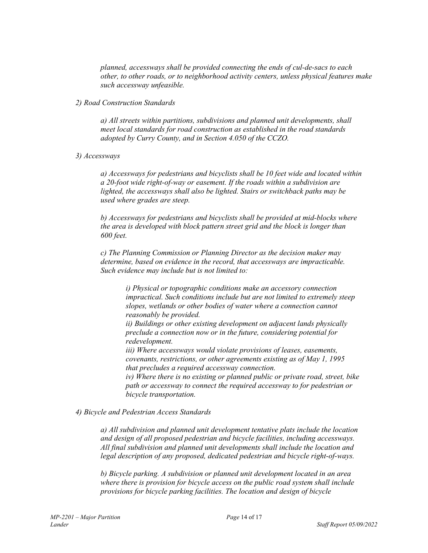*planned, accessways shall be provided connecting the ends of cul-de-sacs to each other, to other roads, or to neighborhood activity centers, unless physical features make such accessway unfeasible.* 

## *2) Road Construction Standards*

*a) All streets within partitions, subdivisions and planned unit developments, shall meet local standards for road construction as established in the road standards adopted by Curry County, and in Section 4.050 of the CCZO.* 

## *3) Accessways*

*a) Accessways for pedestrians and bicyclists shall be 10 feet wide and located within a 20-foot wide right-of-way or easement. If the roads within a subdivision are lighted, the accessways shall also be lighted. Stairs or switchback paths may be used where grades are steep.* 

*b) Accessways for pedestrians and bicyclists shall be provided at mid-blocks where the area is developed with block pattern street grid and the block is longer than 600 feet.* 

*c) The Planning Commission or Planning Director as the decision maker may determine, based on evidence in the record, that accessways are impracticable. Such evidence may include but is not limited to:* 

> *i) Physical or topographic conditions make an accessory connection impractical. Such conditions include but are not limited to extremely steep slopes, wetlands or other bodies of water where a connection cannot reasonably be provided.*

*ii) Buildings or other existing development on adjacent lands physically preclude a connection now or in the future, considering potential for redevelopment.* 

*iii) Where accessways would violate provisions of leases, easements, covenants, restrictions, or other agreements existing as of May 1, 1995 that precludes a required accessway connection.* 

*iv) Where there is no existing or planned public or private road, street, bike path or accessway to connect the required accessway to for pedestrian or bicycle transportation.* 

## *4) Bicycle and Pedestrian Access Standards*

*a) All subdivision and planned unit development tentative plats include the location and design of all proposed pedestrian and bicycle facilities, including accessways. All final subdivision and planned unit developments shall include the location and legal description of any proposed, dedicated pedestrian and bicycle right-of-ways.* 

*b) Bicycle parking. A subdivision or planned unit development located in an area where there is provision for bicycle access on the public road system shall include provisions for bicycle parking facilities. The location and design of bicycle*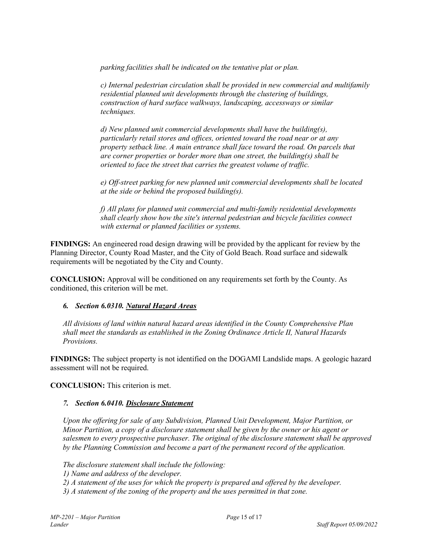*parking facilities shall be indicated on the tentative plat or plan.* 

*c) Internal pedestrian circulation shall be provided in new commercial and multifamily residential planned unit developments through the clustering of buildings, construction of hard surface walkways, landscaping, accessways or similar techniques.* 

*d) New planned unit commercial developments shall have the building(s), particularly retail stores and offices, oriented toward the road near or at any property setback line. A main entrance shall face toward the road. On parcels that are corner properties or border more than one street, the building(s) shall be oriented to face the street that carries the greatest volume of traffic.* 

*e) Off-street parking for new planned unit commercial developments shall be located at the side or behind the proposed building(s).* 

*f) All plans for planned unit commercial and multi-family residential developments shall clearly show how the site's internal pedestrian and bicycle facilities connect with external or planned facilities or systems.* 

**FINDINGS:** An engineered road design drawing will be provided by the applicant for review by the Planning Director, County Road Master, and the City of Gold Beach. Road surface and sidewalk requirements will be negotiated by the City and County.

**CONCLUSION:** Approval will be conditioned on any requirements set forth by the County. As conditioned, this criterion will be met.

## *6. Section 6.0310. Natural Hazard Areas*

*All divisions of land within natural hazard areas identified in the County Comprehensive Plan shall meet the standards as established in the Zoning Ordinance Article II, Natural Hazards Provisions.* 

**FINDINGS:** The subject property is not identified on the DOGAMI Landslide maps. A geologic hazard assessment will not be required.

**CONCLUSION:** This criterion is met.

## *7. Section 6.0410. Disclosure Statement*

*Upon the offering for sale of any Subdivision, Planned Unit Development, Major Partition, or Minor Partition, a copy of a disclosure statement shall be given by the owner or his agent or salesmen to every prospective purchaser. The original of the disclosure statement shall be approved by the Planning Commission and become a part of the permanent record of the application.* 

*The disclosure statement shall include the following:* 

*1) Name and address of the developer.* 

*2) A statement of the uses for which the property is prepared and offered by the developer.* 

*3) A statement of the zoning of the property and the uses permitted in that zone.*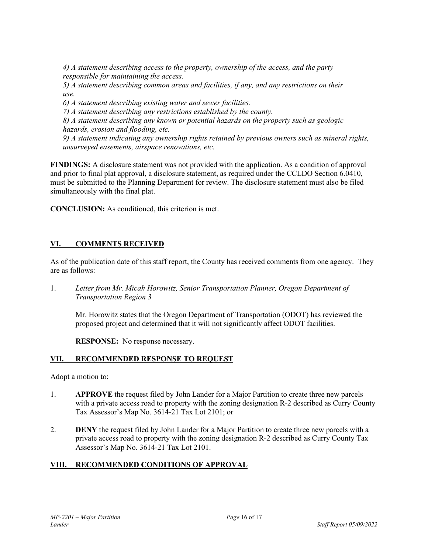*4) A statement describing access to the property, ownership of the access, and the party responsible for maintaining the access.* 

*5) A statement describing common areas and facilities, if any, and any restrictions on their use.* 

*6) A statement describing existing water and sewer facilities.* 

*7) A statement describing any restrictions established by the county.* 

*8) A statement describing any known or potential hazards on the property such as geologic hazards, erosion and flooding, etc.* 

*9) A statement indicating any ownership rights retained by previous owners such as mineral rights, unsurveyed easements, airspace renovations, etc.* 

**FINDINGS:** A disclosure statement was not provided with the application. As a condition of approval and prior to final plat approval, a disclosure statement, as required under the CCLDO Section 6.0410, must be submitted to the Planning Department for review. The disclosure statement must also be filed simultaneously with the final plat.

**CONCLUSION:** As conditioned, this criterion is met.

## **VI. COMMENTS RECEIVED**

As of the publication date of this staff report, the County has received comments from one agency. They are as follows:

1. *Letter from Mr. Micah Horowitz, Senior Transportation Planner, Oregon Department of Transportation Region 3*

Mr. Horowitz states that the Oregon Department of Transportation (ODOT) has reviewed the proposed project and determined that it will not significantly affect ODOT facilities.

**RESPONSE:** No response necessary.

## **VII. RECOMMENDED RESPONSE TO REQUEST**

Adopt a motion to:

- 1. **APPROVE** the request filed by John Lander for a Major Partition to create three new parcels with a private access road to property with the zoning designation R-2 described as Curry County Tax Assessor's Map No. 3614-21 Tax Lot 2101; or
- 2. **DENY** the request filed by John Lander for a Major Partition to create three new parcels with a private access road to property with the zoning designation R-2 described as Curry County Tax Assessor's Map No. 3614-21 Tax Lot 2101.

## **VIII. RECOMMENDED CONDITIONS OF APPROVAL**